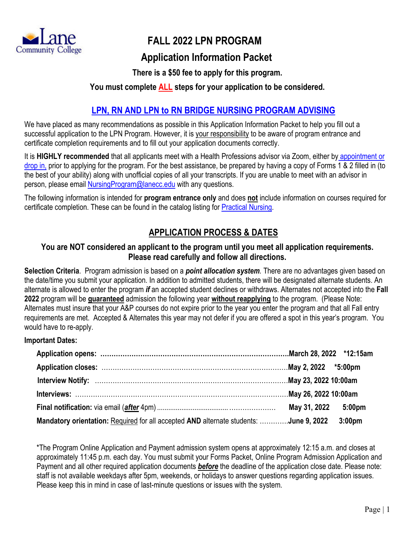

# **FALL 2022 LPN PROGRAM**

## **Application Information Packet**

## **There is a \$50 fee to apply for this program.**

## **You must complete ALL steps for your application to be considered.**

## **LPN, RN AND LPN to RN BRIDGE [NURSING PROGRAM ADVISING](https://www.lanecc.edu/advising/information-health-professions-students)**

We have placed as many recommendations as possible in this Application Information Packet to help you fill out a successful application to the LPN Program. However, it is your responsibility to be aware of program entrance and certificate completion requirements and to fill out your application documents correctly.

It is **HIGHLY recommended** that all applicants meet with a Health Professions advisor via Zoom, either by [appointment or](https://lanecc.navigate.eab.com/app/#/authentication/remote/)  [drop in,](https://lanecc.navigate.eab.com/app/#/authentication/remote/) prior to applying for the program. For the best assistance, be prepared by having a copy of Forms 1 & 2 filled in (to the best of your ability) along with unofficial copies of all your transcripts. If you are unable to meet with an advisor in person, please email [NursingProgram@lanecc.edu](mailto:NursingProgram@lanecc.edu) with any questions.

The following information is intended for **program entrance only** and does **not** include information on courses required for certificate completion. These can be found in the catalog listing for [Practical Nursing.](https://catalog.lanecc.edu/preview_program.php?catoid=11&poid=1075&returnto=846)

## **APPLICATION PROCESS & DATES**

### **You are NOT considered an applicant to the program until you meet all application requirements. Please read carefully and follow all directions.**

**Selection Criteria**. Program admission is based on a *point allocation system.* There are no advantages given based on the date/time you submit your application. In addition to admitted students, there will be designated alternate students. An alternate is allowed to enter the program *if* an accepted student declines or withdraws. Alternates not accepted into the **Fall 2022** program will be **guaranteed** admission the following year **without reapplying** to the program. (Please Note: Alternates must insure that your A&P courses do not expire prior to the year you enter the program and that all Fall entry requirements are met. Accepted & Alternates this year may not defer if you are offered a spot in this year's program. You would have to re-apply.

#### **Important Dates:**

|                                                                                       | May 31, 2022 5:00pm |                    |
|---------------------------------------------------------------------------------------|---------------------|--------------------|
| Mandatory orientation: Required for all accepted AND alternate students: June 9, 2022 |                     | 3:00 <sub>pm</sub> |

\*The Program Online Application and Payment admission system opens at approximately 12:15 a.m. and closes at approximately 11:45 p.m. each day. You must submit your Forms Packet, Online Program Admission Application and Payment and all other required application documents *before* the deadline of the application close date. Please note: staff is not available weekdays after 5pm, weekends, or holidays to answer questions regarding application issues. Please keep this in mind in case of last-minute questions or issues with the system.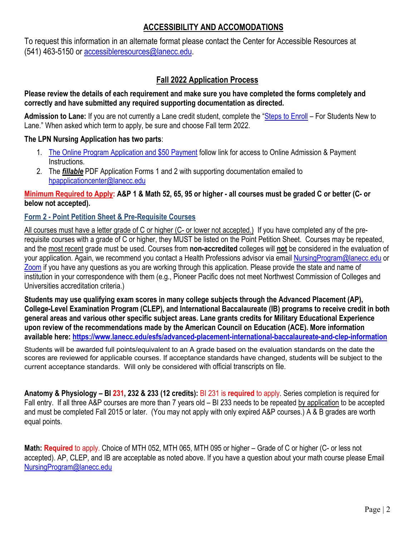## **ACCESSIBILITY AND ACCOMODATIONS**

To request this information in an alternate format please contact the Center for Accessible Resources at (541) 463-5150 or [accessibleresources@lanecc.edu.](mailto:accessibleresources@lanecc.edu)

## **Fall 2022 Application Process**

#### **Please review the details of each requirement and make sure you have completed the forms completely and correctly and have submitted any required supporting documentation as directed.**

**Admission to Lane:** If you are not currently a Lane credit student, complete the ["Steps to Enroll](https://www.lanecc.edu/apply) – For Students New to Lane." When asked which term to apply, be sure and choose Fall term 2022.

#### **The LPN Nursing Application has two parts**:

- 1. [The Online Program Application and \\$50 Payment](https://www.lanecc.edu/sites/default/files/hp/nursing/2021_lcc_lpn_online_adm_app_pmt_instructions.pdf) follow link for access to Online Admission & Payment Instructions.
- 2. The *fillable* PDF Application Forms 1 and 2 with supporting documentation emailed to [hpapplicationcenter@lanecc.edu](mailto:hpapplicationcenter@lanecc.edu)

#### **Minimum Required to Apply: A&P 1 & Math 52, 65, 95 or higher - all courses must be graded C or better (C- or below not accepted).**

### **Form 2 - Point Petition Sheet & Pre-Requisite Courses**

All courses must have a letter grade of C or higher (C- or lower not accepted.) If you have completed any of the prerequisite courses with a grade of C or higher, they MUST be listed on the Point Petition Sheet. Courses may be repeated, and the most recent grade must be used. Courses from **non-accredited** colleges will **not** be considered in the evaluation of your application. Again, we recommend you contact a Health Professions advisor via email [NursingProgram@lanecc.edu](mailto:NursingProgram@lanecc.edu) or [Zoom](https://lanecc.navigate.eab.com/app/#/authentication/remote/) if you have any questions as you are working through this application. Please provide the state and name of institution in your correspondence with them (e.g., Pioneer Pacific does not meet Northwest Commission of Colleges and Universities accreditation criteria.)

**Students may use qualifying exam scores in many college subjects through the Advanced Placement (AP), College-Level Examination Program (CLEP), and International Baccalaureate (IB) programs to receive credit in both general areas and various other specific subject areas. Lane grants credits for Military Educational Experience upon review of the recommendations made by the American Council on Education (ACE). More information available here:<https://www.lanecc.edu/esfs/advanced-placement-international-baccalaureate-and-clep-information>**

Students will be awarded full points/equivalent to an A grade based on the evaluation standards on the date the scores are reviewed for applicable courses. If acceptance standards have changed, students will be subject to the current acceptance standards. Will only be considered with official transcripts on file.

**Anatomy & Physiology – BI 231, 232 & 233 (12 credits):** BI 231 is **required** to apply. Series completion is required for Fall entry. If all three A&P courses are more than 7 years old - BI 233 needs to be repeated by application to be accepted and must be completed Fall 2015 or later. (You may not apply with only expired A&P courses.) A & B grades are worth equal points.

**Math: Required** to apply. Choice of MTH 052, MTH 065, MTH 095 or higher – Grade of C or higher (C- or less not accepted). AP, CLEP, and IB are acceptable as noted above. If you have a question about your math course please Email [NursingProgram@lanecc.edu](mailto:NursingProgram@lanecc.edu)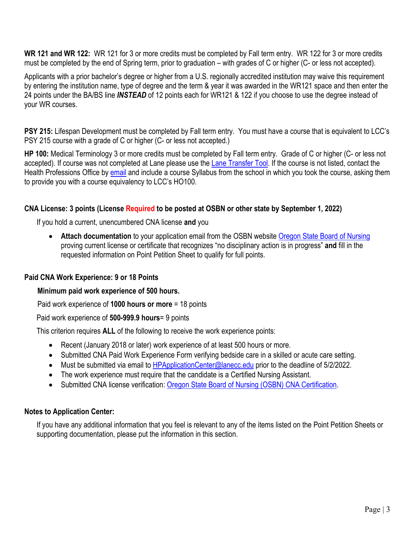**WR 121 and WR 122:** WR 121 for 3 or more credits must be completed by Fall term entry. WR 122 for 3 or more credits must be completed by the end of Spring term, prior to graduation – with grades of C or higher (C- or less not accepted).

Applicants with a prior bachelor's degree or higher from a U.S. regionally accredited institution may waive this requirement by entering the institution name, type of degree and the term & year it was awarded in the WR121 space and then enter the 24 points under the BA/BS line *INSTEAD* of 12 points each for WR121 & 122 if you choose to use the degree instead of your WR courses.

**PSY 215:** Lifespan Development must be completed by Fall term entry. You must have a course that is equivalent to LCC's PSY 215 course with a grade of C or higher (C- or less not accepted.)

**HP 100:** Medical Terminology 3 or more credits must be completed by Fall term entry. Grade of C or higher (C- or less not accepted). If course was not completed at Lane please use the [Lane Transfer Tool.](https://todd.lanecc.edu/transfer/) If the course is not listed, contact the Health Professions Office by [email](mailto:HealthProfessionsOffice@lanecc.edu) and include a course Syllabus from the school in which you took the course, asking them to provide you with a course equivalency to LCC's HO100.

#### **CNA License: 3 points (License Required to be posted at OSBN or other state by September 1, 2022)**

If you hold a current, unencumbered CNA license **and** you

• **Attach documentation** to your application email from the OSBN website [Oregon State Board of Nursing](https://osbn.oregon.gov/OSBNVerification/Default.aspx) proving current license or certificate that recognizes "no disciplinary action is in progress" **and** fill in the requested information on Point Petition Sheet to qualify for full points.

#### **Paid CNA Work Experience: 9 or 18 Points**

#### **Minimum paid work experience of 500 hours.**

Paid work experience of **1000 hours or more** = 18 points

Paid work experience of **500-999.9 hours**= 9 points

This criterion requires **ALL** of the following to receive the work experience points:

- Recent (January 2018 or later) work experience of at least 500 hours or more.
- Submitted CNA Paid Work Experience Form verifying bedside care in a skilled or acute care setting.
- Must be submitted via email to **HPApplicationCenter@lanecc.edu** prior to the deadline of 5/2/2022.
- The work experience must require that the candidate is a Certified Nursing Assistant.
- Submitted CNA license verification: [Oregon State Board of Nursing \(OSBN\) CNA Certification.](https://osbn.oregon.gov/OSBNVerification/Default.aspx)

#### **Notes to Application Center:**

If you have any additional information that you feel is relevant to any of the items listed on the Point Petition Sheets or supporting documentation, please put the information in this section.